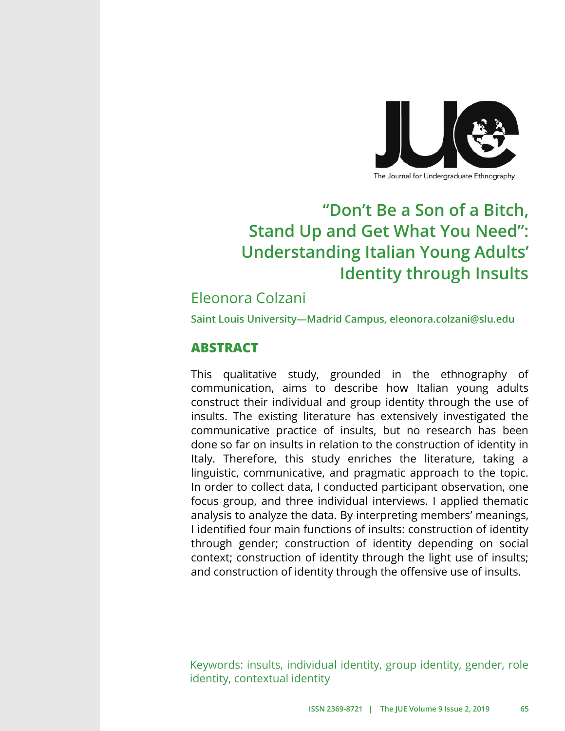

The Journal for Undergraduate Ethnography

# **"Don't Be a Son of a Bitch, Stand Up and Get What You Need": Understanding Italian Young Adults' Identity through Insults**

# Eleonora Colzani

**Saint Louis University—Madrid Campus, eleonora.colzani@slu.edu**

### **ABSTRACT**

This qualitative study, grounded in the ethnography of communication, aims to describe how Italian young adults construct their individual and group identity through the use of insults. The existing literature has extensively investigated the communicative practice of insults, but no research has been done so far on insults in relation to the construction of identity in Italy. Therefore, this study enriches the literature, taking a linguistic, communicative, and pragmatic approach to the topic. In order to collect data, I conducted participant observation, one focus group, and three individual interviews. I applied thematic analysis to analyze the data. By interpreting members' meanings, I identified four main functions of insults: construction of identity through gender; construction of identity depending on social context; construction of identity through the light use of insults; and construction of identity through the offensive use of insults.

Keywords: insults, individual identity, group identity, gender, role identity, contextual identity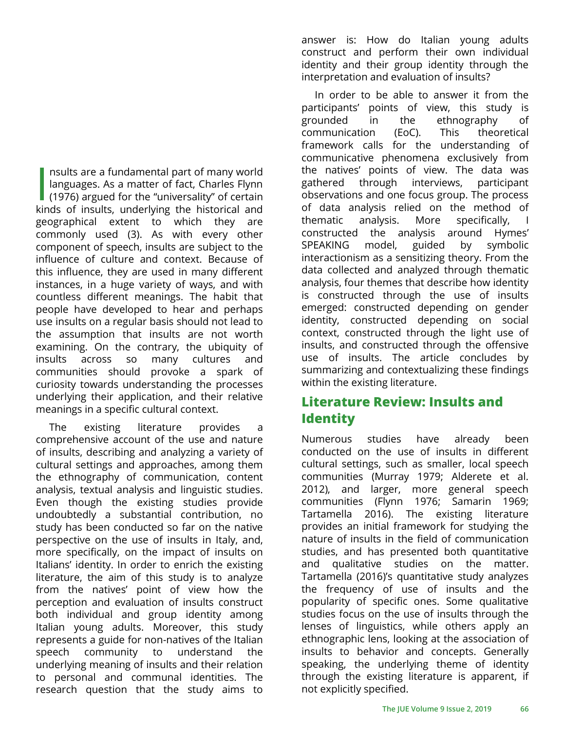I is mults are a fundamental part of many world<br>
languages. As a matter of fact, Charles Flynn<br>
(1976) argued for the "universality" of certain<br>
linds of insults underlying the historical and nsults are a fundamental part of many world languages. As a matter of fact, Charles Flynn kinds of insults, underlying the historical and geographical extent to which they are commonly used (3). As with every other component of speech, insults are subject to the influence of culture and context. Because of this influence, they are used in many different instances, in a huge variety of ways, and with countless different meanings. The habit that people have developed to hear and perhaps use insults on a regular basis should not lead to the assumption that insults are not worth examining. On the contrary, the ubiquity of insults across so many cultures and communities should provoke a spark of curiosity towards understanding the processes underlying their application, and their relative meanings in a specific cultural context.

The existing literature provides a comprehensive account of the use and nature of insults, describing and analyzing a variety of cultural settings and approaches, among them the ethnography of communication, content analysis, textual analysis and linguistic studies. Even though the existing studies provide undoubtedly a substantial contribution, no study has been conducted so far on the native perspective on the use of insults in Italy, and, more specifically, on the impact of insults on Italians' identity. In order to enrich the existing literature, the aim of this study is to analyze from the natives' point of view how the perception and evaluation of insults construct both individual and group identity among Italian young adults. Moreover, this study represents a guide for non-natives of the Italian speech community to understand the underlying meaning of insults and their relation to personal and communal identities. The research question that the study aims to

answer is: How do Italian young adults construct and perform their own individual identity and their group identity through the interpretation and evaluation of insults?

In order to be able to answer it from the participants' points of view, this study is grounded in the ethnography of communication (EoC). This theoretical framework calls for the understanding of communicative phenomena exclusively from the natives' points of view. The data was gathered through interviews, participant observations and one focus group. The process of data analysis relied on the method of thematic analysis. More specifically, I constructed the analysis around Hymes' SPEAKING model, guided by symbolic interactionism as a sensitizing theory. From the data collected and analyzed through thematic analysis, four themes that describe how identity is constructed through the use of insults emerged: constructed depending on gender identity, constructed depending on social context, constructed through the light use of insults, and constructed through the offensive use of insults. The article concludes by summarizing and contextualizing these findings within the existing literature.

### **Literature Review: Insults and Identity**

Numerous studies have already been conducted on the use of insults in different cultural settings, such as smaller, local speech communities (Murray 1979; Alderete et al. 2012), and larger, more general speech communities (Flynn 1976; Samarin 1969; Tartamella 2016). The existing literature provides an initial framework for studying the nature of insults in the field of communication studies, and has presented both quantitative and qualitative studies on the matter. Tartamella (2016)'s quantitative study analyzes the frequency of use of insults and the popularity of specific ones. Some qualitative studies focus on the use of insults through the lenses of linguistics, while others apply an ethnographic lens, looking at the association of insults to behavior and concepts. Generally speaking, the underlying theme of identity through the existing literature is apparent, if not explicitly specified.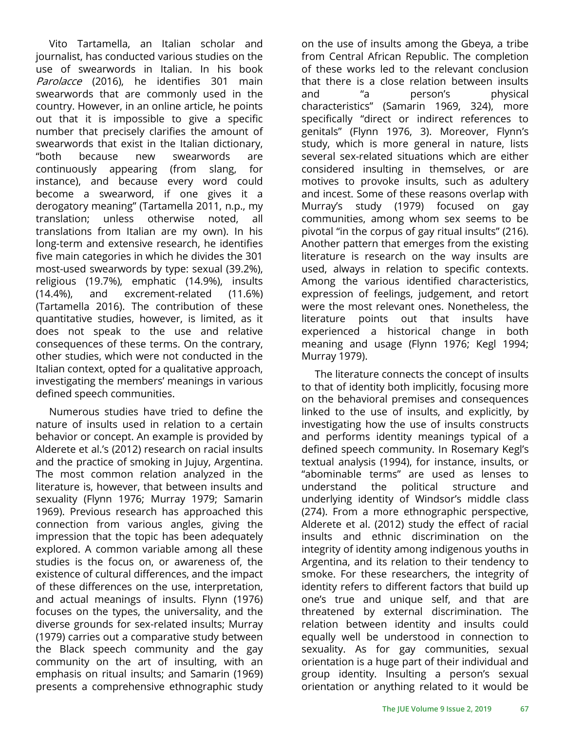Vito Tartamella, an Italian scholar and journalist, has conducted various studies on the use of swearwords in Italian. In his book Parolacce (2016), he identifies 301 main swearwords that are commonly used in the country. However, in an online article, he points out that it is impossible to give a specific number that precisely clarifies the amount of swearwords that exist in the Italian dictionary, "both because new swearwords are continuously appearing (from slang, for instance), and because every word could become a swearword, if one gives it a derogatory meaning" (Tartamella 2011, n.p., my translation; unless otherwise noted, all translations from Italian are my own). In his long-term and extensive research, he identifies five main categories in which he divides the 301 most-used swearwords by type: sexual (39.2%), religious (19.7%), emphatic (14.9%), insults (14.4%), and excrement-related (11.6%) (Tartamella 2016). The contribution of these quantitative studies, however, is limited, as it does not speak to the use and relative consequences of these terms. On the contrary, other studies, which were not conducted in the Italian context, opted for a qualitative approach, investigating the members' meanings in various defined speech communities.

Numerous studies have tried to define the nature of insults used in relation to a certain behavior or concept. An example is provided by Alderete et al.'s (2012) research on racial insults and the practice of smoking in Jujuy, Argentina. The most common relation analyzed in the literature is, however, that between insults and sexuality (Flynn 1976; Murray 1979; Samarin 1969). Previous research has approached this connection from various angles, giving the impression that the topic has been adequately explored. A common variable among all these studies is the focus on, or awareness of, the existence of cultural differences, and the impact of these differences on the use, interpretation, and actual meanings of insults. Flynn (1976) focuses on the types, the universality, and the diverse grounds for sex-related insults; Murray (1979) carries out a comparative study between the Black speech community and the gay community on the art of insulting, with an emphasis on ritual insults; and Samarin (1969) presents a comprehensive ethnographic study

on the use of insults among the Gbeya, a tribe from Central African Republic. The completion of these works led to the relevant conclusion that there is a close relation between insults and "a person's physical characteristics" (Samarin 1969, 324), more specifically "direct or indirect references to genitals" (Flynn 1976, 3). Moreover, Flynn's study, which is more general in nature, lists several sex-related situations which are either considered insulting in themselves, or are motives to provoke insults, such as adultery and incest. Some of these reasons overlap with Murray's study (1979) focused on gay communities, among whom sex seems to be pivotal "in the corpus of gay ritual insults" (216). Another pattern that emerges from the existing literature is research on the way insults are used, always in relation to specific contexts. Among the various identified characteristics, expression of feelings, judgement, and retort were the most relevant ones. Nonetheless, the literature points out that insults have experienced a historical change in both meaning and usage (Flynn 1976; Kegl 1994; Murray 1979).

The literature connects the concept of insults to that of identity both implicitly, focusing more on the behavioral premises and consequences linked to the use of insults, and explicitly, by investigating how the use of insults constructs and performs identity meanings typical of a defined speech community. In Rosemary Kegl's textual analysis (1994), for instance, insults, or "abominable terms" are used as lenses to understand the political structure and underlying identity of Windsor's middle class (274). From a more ethnographic perspective, Alderete et al. (2012) study the effect of racial insults and ethnic discrimination on the integrity of identity among indigenous youths in Argentina, and its relation to their tendency to smoke. For these researchers, the integrity of identity refers to different factors that build up one's true and unique self, and that are threatened by external discrimination. The relation between identity and insults could equally well be understood in connection to sexuality. As for gay communities, sexual orientation is a huge part of their individual and group identity. Insulting a person's sexual orientation or anything related to it would be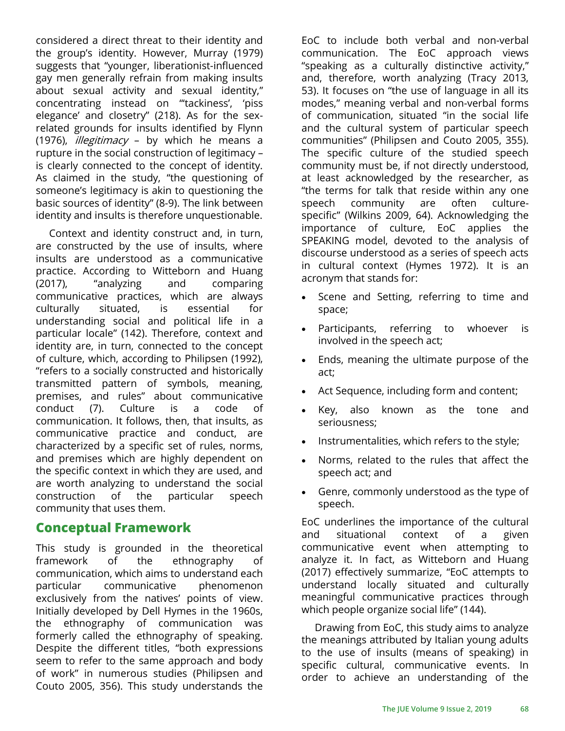considered a direct threat to their identity and the group's identity. However, Murray (1979) suggests that "younger, liberationist-influenced gay men generally refrain from making insults about sexual activity and sexual identity," concentrating instead on "'tackiness', 'piss elegance' and closetry" (218). As for the sexrelated grounds for insults identified by Flynn (1976), *illegitimacy* – by which he means a rupture in the social construction of legitimacy – is clearly connected to the concept of identity. As claimed in the study, "the questioning of someone's legitimacy is akin to questioning the basic sources of identity" (8-9). The link between identity and insults is therefore unquestionable.

Context and identity construct and, in turn, are constructed by the use of insults, where insults are understood as a communicative practice. According to Witteborn and Huang (2017), "analyzing and comparing communicative practices, which are always culturally situated, is essential for understanding social and political life in a particular locale" (142). Therefore, context and identity are, in turn, connected to the concept of culture, which, according to Philipsen (1992), "refers to a socially constructed and historically transmitted pattern of symbols, meaning, premises, and rules" about communicative conduct (7). Culture is a code of communication. It follows, then, that insults, as communicative practice and conduct, are characterized by a specific set of rules, norms, and premises which are highly dependent on the specific context in which they are used, and are worth analyzing to understand the social construction of the particular speech community that uses them.

### **Conceptual Framework**

This study is grounded in the theoretical framework of the ethnography of communication, which aims to understand each particular communicative phenomenon exclusively from the natives' points of view. Initially developed by Dell Hymes in the 1960s, the ethnography of communication was formerly called the ethnography of speaking. Despite the different titles, "both expressions seem to refer to the same approach and body of work" in numerous studies (Philipsen and Couto 2005, 356). This study understands the

EoC to include both verbal and non-verbal communication. The EoC approach views "speaking as a culturally distinctive activity," and, therefore, worth analyzing (Tracy 2013, 53). It focuses on "the use of language in all its modes," meaning verbal and non-verbal forms of communication, situated "in the social life and the cultural system of particular speech communities" (Philipsen and Couto 2005, 355). The specific culture of the studied speech community must be, if not directly understood, at least acknowledged by the researcher, as "the terms for talk that reside within any one speech community are often culturespecific" (Wilkins 2009, 64). Acknowledging the importance of culture, EoC applies the SPEAKING model, devoted to the analysis of discourse understood as a series of speech acts in cultural context (Hymes 1972). It is an acronym that stands for:

- Scene and Setting, referring to time and space;
- Participants, referring to whoever is involved in the speech act;
- Ends, meaning the ultimate purpose of the act;
- Act Sequence, including form and content;
- Key, also known as the tone and seriousness;
- Instrumentalities, which refers to the style;
- Norms, related to the rules that affect the speech act; and
- Genre, commonly understood as the type of speech.

EoC underlines the importance of the cultural and situational context of a given communicative event when attempting to analyze it. In fact, as Witteborn and Huang (2017) effectively summarize, "EoC attempts to understand locally situated and culturally meaningful communicative practices through which people organize social life" (144).

Drawing from EoC, this study aims to analyze the meanings attributed by Italian young adults to the use of insults (means of speaking) in specific cultural, communicative events. In order to achieve an understanding of the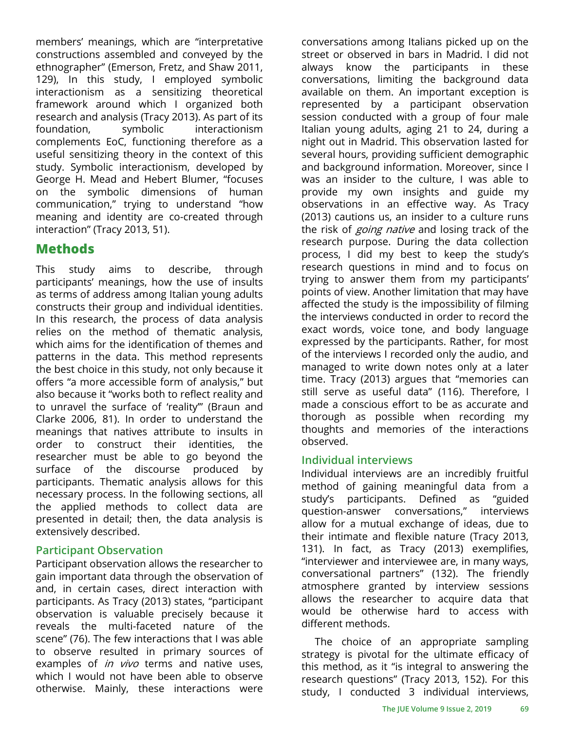members' meanings, which are "interpretative constructions assembled and conveyed by the ethnographer" (Emerson, Fretz, and Shaw 2011, 129), In this study, I employed symbolic interactionism as a sensitizing theoretical framework around which I organized both research and analysis (Tracy 2013). As part of its foundation, symbolic interactionism complements EoC, functioning therefore as a useful sensitizing theory in the context of this study. Symbolic interactionism, developed by George H. Mead and Hebert Blumer, "focuses on the symbolic dimensions of human communication," trying to understand "how meaning and identity are co-created through interaction" (Tracy 2013, 51).

# **Methods**

This study aims to describe, through participants' meanings, how the use of insults as terms of address among Italian young adults constructs their group and individual identities. In this research, the process of data analysis relies on the method of thematic analysis, which aims for the identification of themes and patterns in the data. This method represents the best choice in this study, not only because it offers "a more accessible form of analysis," but also because it "works both to reflect reality and to unravel the surface of 'reality'" (Braun and Clarke 2006, 81). In order to understand the meanings that natives attribute to insults in order to construct their identities, the researcher must be able to go beyond the surface of the discourse produced by participants. Thematic analysis allows for this necessary process. In the following sections, all the applied methods to collect data are presented in detail; then, the data analysis is extensively described.

### **Participant Observation**

Participant observation allows the researcher to gain important data through the observation of and, in certain cases, direct interaction with participants. As Tracy (2013) states, "participant observation is valuable precisely because it reveals the multi-faceted nature of the scene" (76). The few interactions that I was able to observe resulted in primary sources of examples of *in vivo* terms and native uses, which I would not have been able to observe otherwise. Mainly, these interactions were

conversations among Italians picked up on the street or observed in bars in Madrid. I did not always know the participants in these conversations, limiting the background data available on them. An important exception is represented by a participant observation session conducted with a group of four male Italian young adults, aging 21 to 24, during a night out in Madrid. This observation lasted for several hours, providing sufficient demographic and background information. Moreover, since I was an insider to the culture, I was able to provide my own insights and guide my observations in an effective way. As Tracy (2013) cautions us, an insider to a culture runs the risk of *going native* and losing track of the research purpose. During the data collection process, I did my best to keep the study's research questions in mind and to focus on trying to answer them from my participants' points of view. Another limitation that may have affected the study is the impossibility of filming the interviews conducted in order to record the exact words, voice tone, and body language expressed by the participants. Rather, for most of the interviews I recorded only the audio, and managed to write down notes only at a later time. Tracy (2013) argues that "memories can still serve as useful data" (116). Therefore, I made a conscious effort to be as accurate and thorough as possible when recording my thoughts and memories of the interactions observed.

### **Individual interviews**

Individual interviews are an incredibly fruitful method of gaining meaningful data from a study's participants. Defined as "guided question-answer conversations," interviews allow for a mutual exchange of ideas, due to their intimate and flexible nature (Tracy 2013, 131). In fact, as Tracy (2013) exemplifies, "interviewer and interviewee are, in many ways, conversational partners" (132). The friendly atmosphere granted by interview sessions allows the researcher to acquire data that would be otherwise hard to access with different methods.

The choice of an appropriate sampling strategy is pivotal for the ultimate efficacy of this method, as it "is integral to answering the research questions" (Tracy 2013, 152). For this study, I conducted 3 individual interviews,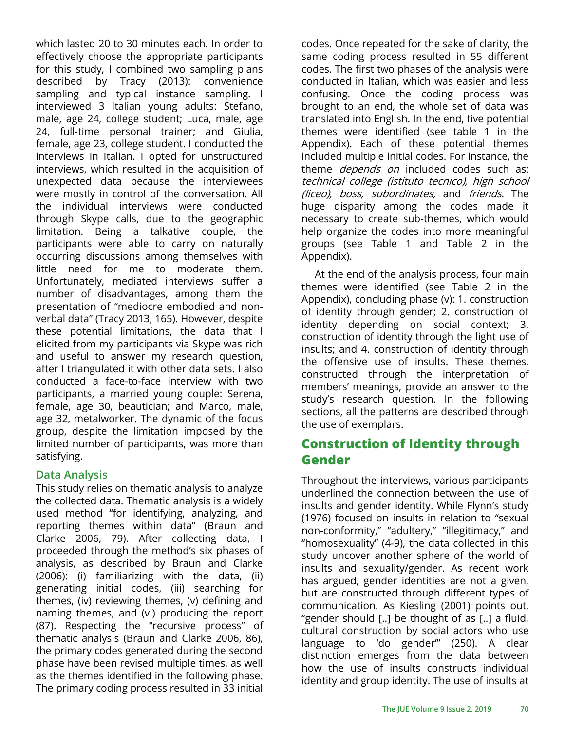which lasted 20 to 30 minutes each. In order to effectively choose the appropriate participants for this study, I combined two sampling plans described by Tracy (2013): convenience sampling and typical instance sampling. I interviewed 3 Italian young adults: Stefano, male, age 24, college student; Luca, male, age 24, full-time personal trainer; and Giulia, female, age 23, college student. I conducted the interviews in Italian. I opted for unstructured interviews, which resulted in the acquisition of unexpected data because the interviewees were mostly in control of the conversation. All the individual interviews were conducted through Skype calls, due to the geographic limitation. Being a talkative couple, the participants were able to carry on naturally occurring discussions among themselves with little need for me to moderate them. Unfortunately, mediated interviews suffer a number of disadvantages, among them the presentation of "mediocre embodied and nonverbal data" (Tracy 2013, 165). However, despite these potential limitations, the data that I elicited from my participants via Skype was rich and useful to answer my research question, after I triangulated it with other data sets. I also conducted a face-to-face interview with two participants, a married young couple: Serena, female, age 30, beautician; and Marco, male, age 32, metalworker. The dynamic of the focus group, despite the limitation imposed by the limited number of participants, was more than satisfying.

### **Data Analysis**

This study relies on thematic analysis to analyze the collected data. Thematic analysis is a widely used method "for identifying, analyzing, and reporting themes within data" (Braun and Clarke 2006, 79). After collecting data, I proceeded through the method's six phases of analysis, as described by Braun and Clarke (2006): (i) familiarizing with the data, (ii) generating initial codes, (iii) searching for themes, (iv) reviewing themes, (v) defining and naming themes, and (vi) producing the report (87). Respecting the "recursive process" of thematic analysis (Braun and Clarke 2006, 86), the primary codes generated during the second phase have been revised multiple times, as well as the themes identified in the following phase. The primary coding process resulted in 33 initial

codes. Once repeated for the sake of clarity, the same coding process resulted in 55 different codes. The first two phases of the analysis were conducted in Italian, which was easier and less confusing. Once the coding process was brought to an end, the whole set of data was translated into English. In the end, five potential themes were identified (see table 1 in the Appendix). Each of these potential themes included multiple initial codes. For instance, the theme *depends on* included codes such as: technical college (istituto tecnico), high school (liceo), boss, subordinates, and friends. The huge disparity among the codes made it necessary to create sub-themes, which would help organize the codes into more meaningful groups (see Table 1 and Table 2 in the Appendix).

At the end of the analysis process, four main themes were identified (see Table 2 in the Appendix), concluding phase (v): 1. construction of identity through gender; 2. construction of identity depending on social context; 3. construction of identity through the light use of insults; and 4. construction of identity through the offensive use of insults. These themes, constructed through the interpretation of members' meanings, provide an answer to the study's research question. In the following sections, all the patterns are described through the use of exemplars.

# **Construction of Identity through Gender**

Throughout the interviews, various participants underlined the connection between the use of insults and gender identity. While Flynn's study (1976) focused on insults in relation to "sexual non-conformity," "adultery," "illegitimacy," and "homosexuality" (4-9), the data collected in this study uncover another sphere of the world of insults and sexuality/gender. As recent work has argued, gender identities are not a given, but are constructed through different types of communication. As Kiesling (2001) points out, "gender should [..] be thought of as [..] a fluid, cultural construction by social actors who use language to 'do gender'" (250). A clear distinction emerges from the data between how the use of insults constructs individual identity and group identity. The use of insults at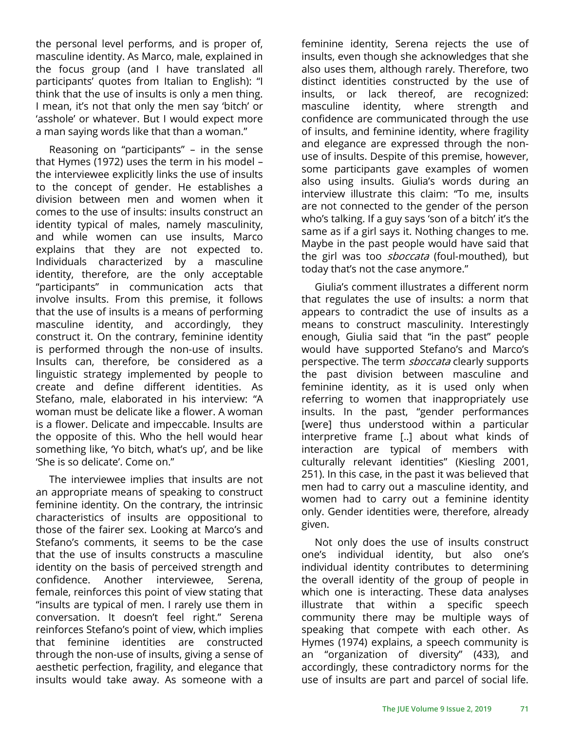the personal level performs, and is proper of, masculine identity. As Marco, male, explained in the focus group (and I have translated all participants' quotes from Italian to English): "I think that the use of insults is only a men thing. I mean, it's not that only the men say 'bitch' or 'asshole' or whatever. But I would expect more a man saying words like that than a woman."

Reasoning on "participants" – in the sense that Hymes (1972) uses the term in his model – the interviewee explicitly links the use of insults to the concept of gender. He establishes a division between men and women when it comes to the use of insults: insults construct an identity typical of males, namely masculinity, and while women can use insults, Marco explains that they are not expected to. Individuals characterized by a masculine identity, therefore, are the only acceptable "participants" in communication acts that involve insults. From this premise, it follows that the use of insults is a means of performing masculine identity, and accordingly, they construct it. On the contrary, feminine identity is performed through the non-use of insults. Insults can, therefore, be considered as a linguistic strategy implemented by people to create and define different identities. As Stefano, male, elaborated in his interview: "A woman must be delicate like a flower. A woman is a flower. Delicate and impeccable. Insults are the opposite of this. Who the hell would hear something like, 'Yo bitch, what's up', and be like 'She is so delicate'. Come on."

The interviewee implies that insults are not an appropriate means of speaking to construct feminine identity. On the contrary, the intrinsic characteristics of insults are oppositional to those of the fairer sex. Looking at Marco's and Stefano's comments, it seems to be the case that the use of insults constructs a masculine identity on the basis of perceived strength and confidence. Another interviewee, Serena, female, reinforces this point of view stating that "insults are typical of men. I rarely use them in conversation. It doesn't feel right." Serena reinforces Stefano's point of view, which implies that feminine identities are constructed through the non-use of insults, giving a sense of aesthetic perfection, fragility, and elegance that insults would take away. As someone with a

feminine identity, Serena rejects the use of insults, even though she acknowledges that she also uses them, although rarely. Therefore, two distinct identities constructed by the use of insults, or lack thereof, are recognized: masculine identity, where strength and confidence are communicated through the use of insults, and feminine identity, where fragility and elegance are expressed through the nonuse of insults. Despite of this premise, however, some participants gave examples of women also using insults. Giulia's words during an interview illustrate this claim: "To me, insults are not connected to the gender of the person who's talking. If a guy says 'son of a bitch' it's the same as if a girl says it. Nothing changes to me. Maybe in the past people would have said that the girl was too *sboccata* (foul-mouthed), but today that's not the case anymore."

Giulia's comment illustrates a different norm that regulates the use of insults: a norm that appears to contradict the use of insults as a means to construct masculinity. Interestingly enough, Giulia said that "in the past" people would have supported Stefano's and Marco's perspective. The term *sboccata* clearly supports the past division between masculine and feminine identity, as it is used only when referring to women that inappropriately use insults. In the past, "gender performances [were] thus understood within a particular interpretive frame [..] about what kinds of interaction are typical of members with culturally relevant identities" (Kiesling 2001, 251). In this case, in the past it was believed that men had to carry out a masculine identity, and women had to carry out a feminine identity only. Gender identities were, therefore, already given.

Not only does the use of insults construct one's individual identity, but also one's individual identity contributes to determining the overall identity of the group of people in which one is interacting. These data analyses illustrate that within a specific speech community there may be multiple ways of speaking that compete with each other. As Hymes (1974) explains, a speech community is an "organization of diversity" (433), and accordingly, these contradictory norms for the use of insults are part and parcel of social life.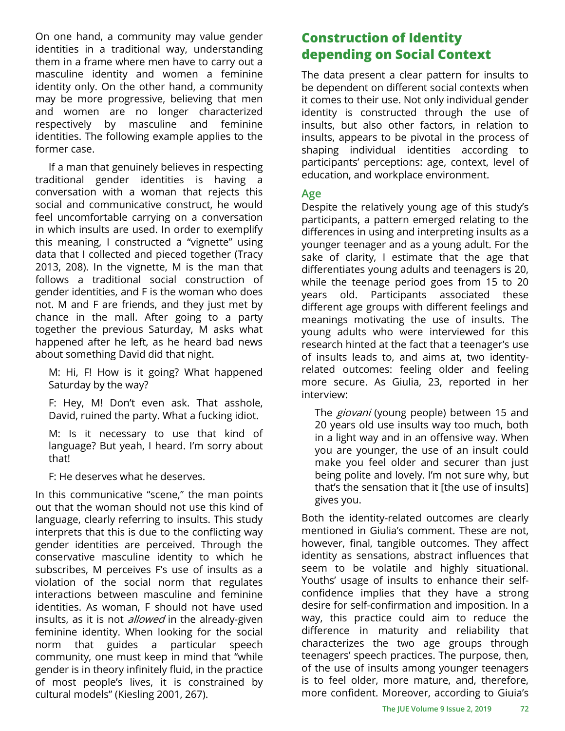On one hand, a community may value gender identities in a traditional way, understanding them in a frame where men have to carry out a masculine identity and women a feminine identity only. On the other hand, a community may be more progressive, believing that men and women are no longer characterized respectively by masculine and feminine identities. The following example applies to the former case.

If a man that genuinely believes in respecting traditional gender identities is having a conversation with a woman that rejects this social and communicative construct, he would feel uncomfortable carrying on a conversation in which insults are used. In order to exemplify this meaning, I constructed a "vignette" using data that I collected and pieced together (Tracy 2013, 208). In the vignette, M is the man that follows a traditional social construction of gender identities, and F is the woman who does not. M and F are friends, and they just met by chance in the mall. After going to a party together the previous Saturday, M asks what happened after he left, as he heard bad news about something David did that night.

M: Hi, F! How is it going? What happened Saturday by the way?

F: Hey, M! Don't even ask. That asshole, David, ruined the party. What a fucking idiot.

M: Is it necessary to use that kind of language? But yeah, I heard. I'm sorry about that!

F: He deserves what he deserves.

In this communicative "scene," the man points out that the woman should not use this kind of language, clearly referring to insults. This study interprets that this is due to the conflicting way gender identities are perceived. Through the conservative masculine identity to which he subscribes, M perceives F's use of insults as a violation of the social norm that regulates interactions between masculine and feminine identities. As woman, F should not have used insults, as it is not *allowed* in the already-given feminine identity. When looking for the social norm that guides a particular speech community, one must keep in mind that "while gender is in theory infinitely fluid, in the practice of most people's lives, it is constrained by cultural models" (Kiesling 2001, 267).

# **Construction of Identity depending on Social Context**

The data present a clear pattern for insults to be dependent on different social contexts when it comes to their use. Not only individual gender identity is constructed through the use of insults, but also other factors, in relation to insults, appears to be pivotal in the process of shaping individual identities according to participants' perceptions: age, context, level of education, and workplace environment.

#### **Age**

Despite the relatively young age of this study's participants, a pattern emerged relating to the differences in using and interpreting insults as a younger teenager and as a young adult. For the sake of clarity, I estimate that the age that differentiates young adults and teenagers is 20, while the teenage period goes from 15 to 20 years old. Participants associated these different age groups with different feelings and meanings motivating the use of insults. The young adults who were interviewed for this research hinted at the fact that a teenager's use of insults leads to, and aims at, two identityrelated outcomes: feeling older and feeling more secure. As Giulia, 23, reported in her interview:

The *giovani* (young people) between 15 and 20 years old use insults way too much, both in a light way and in an offensive way. When you are younger, the use of an insult could make you feel older and securer than just being polite and lovely. I'm not sure why, but that's the sensation that it [the use of insults] gives you.

Both the identity-related outcomes are clearly mentioned in Giulia's comment. These are not, however, final, tangible outcomes. They affect identity as sensations, abstract influences that seem to be volatile and highly situational. Youths' usage of insults to enhance their selfconfidence implies that they have a strong desire for self-confirmation and imposition. In a way, this practice could aim to reduce the difference in maturity and reliability that characterizes the two age groups through teenagers' speech practices. The purpose, then, of the use of insults among younger teenagers is to feel older, more mature, and, therefore, more confident. Moreover, according to Giuia's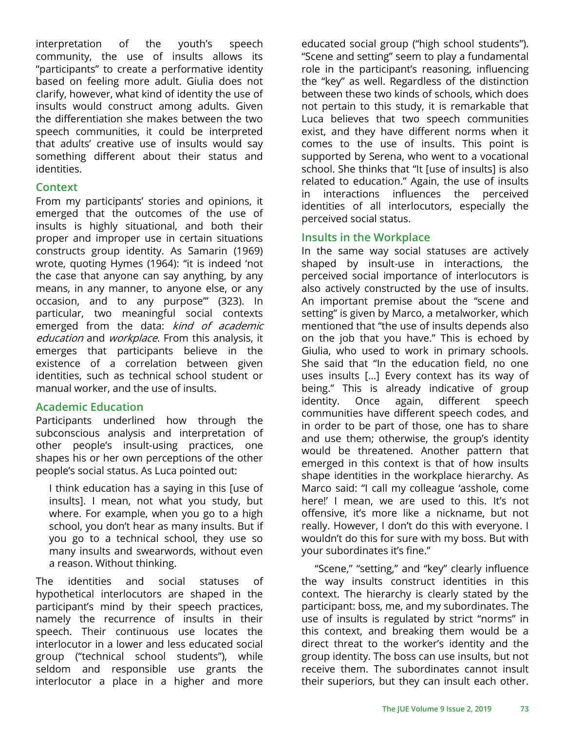interpretation of the youth's speech community, the use of insults allows its "participants" to create a performative identity based on feeling more adult. Giulia does not clarify, however, what kind of identity the use of insults would construct among adults. Given the differentiation she makes between the two speech communities, it could be interpreted that adults' creative use of insults would say something different about their status and identities.

#### **Context**

From my participants' stories and opinions, it emerged that the outcomes of the use of insults is highly situational, and both their proper and improper use in certain situations constructs group identity. As Samarin (1969) wrote, quoting Hymes (1964): "it is indeed 'not the case that anyone can say anything, by any means, in any manner, to anyone else, or any occasion, and to any purpose'" (323). In particular, two meaningful social contexts emerged from the data: kind of academic education and workplace. From this analysis, it emerges that participants believe in the existence of a correlation between given identities, such as technical school student or manual worker, and the use of insults.

#### **Academic Education**

Participants underlined how through the subconscious analysis and interpretation of other people's insult-using practices, one shapes his or her own perceptions of the other people's social status. As Luca pointed out:

I think education has a saying in this [use of insults]. I mean, not what you study, but where. For example, when you go to a high school, you don't hear as many insults. But if you go to a technical school, they use so many insults and swearwords, without even a reason. Without thinking.

The identities and social statuses of hypothetical interlocutors are shaped in the participant's mind by their speech practices, namely the recurrence of insults in their speech. Their continuous use locates the interlocutor in a lower and less educated social group ("technical school students"), while seldom and responsible use grants the interlocutor a place in a higher and more

educated social group ("high school students"). "Scene and setting" seem to play a fundamental role in the participant's reasoning, influencing the "key" as well. Regardless of the distinction between these two kinds of schools, which does not pertain to this study, it is remarkable that Luca believes that two speech communities exist, and they have different norms when it comes to the use of insults. This point is supported by Serena, who went to a vocational school. She thinks that "It [use of insults] is also related to education." Again, the use of insults in interactions influences the perceived identities of all interlocutors, especially the perceived social status.

#### **Insults in the Workplace**

In the same way social statuses are actively shaped by insult-use in interactions, the perceived social importance of interlocutors is also actively constructed by the use of insults. An important premise about the "scene and setting" is given by Marco, a metalworker, which mentioned that "the use of insults depends also on the job that you have." This is echoed by Giulia, who used to work in primary schools. She said that "In the education field, no one uses insults [...] Every context has its way of being." This is already indicative of group identity. Once again, different speech communities have different speech codes, and in order to be part of those, one has to share and use them; otherwise, the group's identity would be threatened. Another pattern that emerged in this context is that of how insults shape identities in the workplace hierarchy. As Marco said: "I call my colleague 'asshole, come here!' I mean, we are used to this. It's not offensive, it's more like a nickname, but not really. However, I don't do this with everyone. I wouldn't do this for sure with my boss. But with your subordinates it's fine."

"Scene," "setting," and "key" clearly influence the way insults construct identities in this context. The hierarchy is clearly stated by the participant: boss, me, and my subordinates. The use of insults is regulated by strict "norms" in this context, and breaking them would be a direct threat to the worker's identity and the group identity. The boss can use insults, but not receive them. The subordinates cannot insult their superiors, but they can insult each other.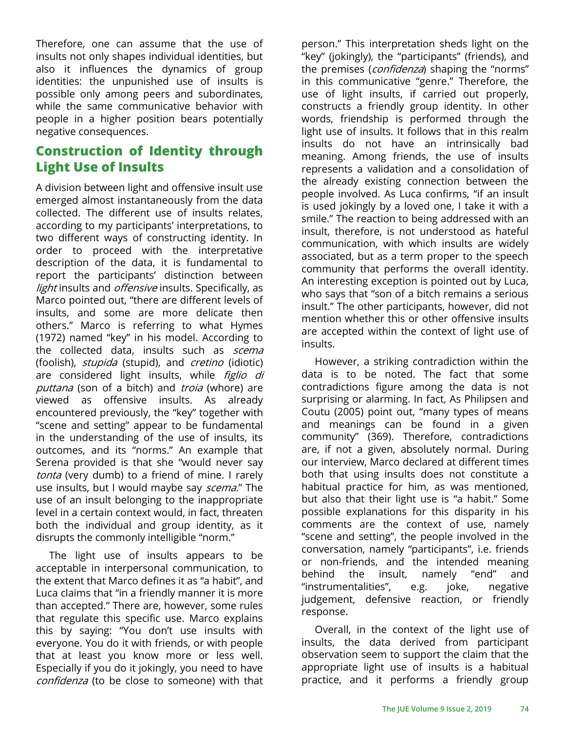Therefore, one can assume that the use of insults not only shapes individual identities, but also it influences the dynamics of group identities: the unpunished use of insults is possible only among peers and subordinates, while the same communicative behavior with people in a higher position bears potentially negative consequences.

### **Construction of Identity through Light Use of Insults**

A division between light and offensive insult use emerged almost instantaneously from the data collected. The different use of insults relates, according to my participants' interpretations, to two different ways of constructing identity. In order to proceed with the interpretative description of the data, it is fundamental to report the participants' distinction between light insults and *offensive* insults. Specifically, as Marco pointed out, "there are different levels of insults, and some are more delicate then others." Marco is referring to what Hymes (1972) named "key" in his model. According to the collected data, insults such as *scema* (foolish), *stupida* (stupid), and *cretino* (idiotic) are considered light insults, while figlio di puttana (son of a bitch) and troia (whore) are viewed as offensive insults. As already encountered previously, the "key" together with "scene and setting" appear to be fundamental in the understanding of the use of insults, its outcomes, and its "norms." An example that Serena provided is that she "would never say tonta (very dumb) to a friend of mine. I rarely use insults, but I would maybe say *scema*." The use of an insult belonging to the inappropriate level in a certain context would, in fact, threaten both the individual and group identity, as it disrupts the commonly intelligible "norm."

The light use of insults appears to be acceptable in interpersonal communication, to the extent that Marco defines it as "a habit", and Luca claims that "in a friendly manner it is more than accepted." There are, however, some rules that regulate this specific use. Marco explains this by saying: "You don't use insults with everyone. You do it with friends, or with people that at least you know more or less well. Especially if you do it jokingly, you need to have confidenza (to be close to someone) with that

person." This interpretation sheds light on the "key" (jokingly), the "participants" (friends), and the premises (*confidenza*) shaping the "norms" in this communicative "genre." Therefore, the use of light insults, if carried out properly, constructs a friendly group identity. In other words, friendship is performed through the light use of insults. It follows that in this realm insults do not have an intrinsically bad meaning. Among friends, the use of insults represents a validation and a consolidation of the already existing connection between the people involved. As Luca confirms, "if an insult is used jokingly by a loved one, I take it with a smile." The reaction to being addressed with an insult, therefore, is not understood as hateful communication, with which insults are widely associated, but as a term proper to the speech community that performs the overall identity. An interesting exception is pointed out by Luca, who says that "son of a bitch remains a serious insult." The other participants, however, did not mention whether this or other offensive insults are accepted within the context of light use of insults.

However, a striking contradiction within the data is to be noted. The fact that some contradictions figure among the data is not surprising or alarming. In fact, As Philipsen and Coutu (2005) point out, "many types of means and meanings can be found in a given community" (369). Therefore, contradictions are, if not a given, absolutely normal. During our interview, Marco declared at different times both that using insults does not constitute a habitual practice for him, as was mentioned, but also that their light use is "a habit." Some possible explanations for this disparity in his comments are the context of use, namely "scene and setting", the people involved in the conversation, namely "participants", i.e. friends or non-friends, and the intended meaning behind the insult, namely "end" and "instrumentalities", e.g. joke, negative judgement, defensive reaction, or friendly response.

Overall, in the context of the light use of insults, the data derived from participant observation seem to support the claim that the appropriate light use of insults is a habitual practice, and it performs a friendly group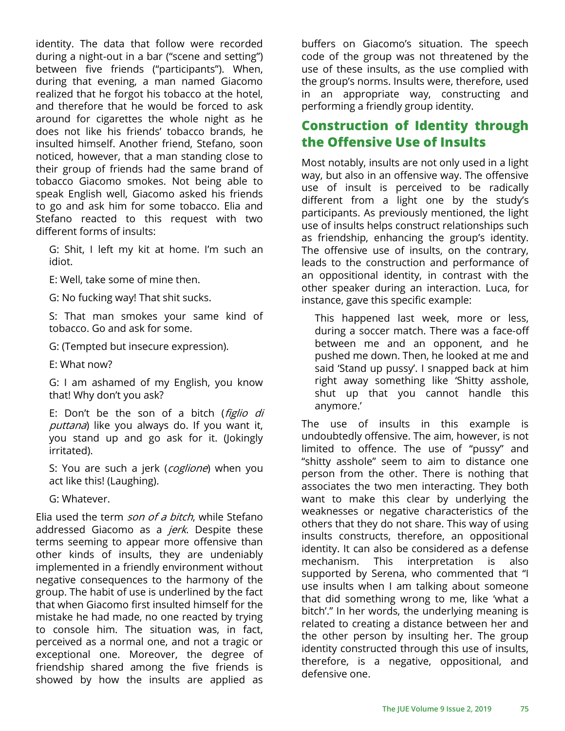identity. The data that follow were recorded during a night-out in a bar ("scene and setting") between five friends ("participants"). When, during that evening, a man named Giacomo realized that he forgot his tobacco at the hotel, and therefore that he would be forced to ask around for cigarettes the whole night as he does not like his friends' tobacco brands, he insulted himself. Another friend, Stefano, soon noticed, however, that a man standing close to their group of friends had the same brand of tobacco Giacomo smokes. Not being able to speak English well, Giacomo asked his friends to go and ask him for some tobacco. Elia and Stefano reacted to this request with two different forms of insults:

G: Shit, I left my kit at home. I'm such an idiot.

E: Well, take some of mine then.

G: No fucking way! That shit sucks.

S: That man smokes your same kind of tobacco. Go and ask for some.

G: (Tempted but insecure expression).

E: What now?

G: I am ashamed of my English, you know that! Why don't you ask?

E: Don't be the son of a bitch (figlio di puttana) like you always do. If you want it, you stand up and go ask for it. (Jokingly irritated).

S: You are such a jerk (coglione) when you act like this! (Laughing).

G: Whatever.

Elia used the term *son of a bitch*, while Stefano addressed Giacomo as a jerk. Despite these terms seeming to appear more offensive than other kinds of insults, they are undeniably implemented in a friendly environment without negative consequences to the harmony of the group. The habit of use is underlined by the fact that when Giacomo first insulted himself for the mistake he had made, no one reacted by trying to console him. The situation was, in fact, perceived as a normal one, and not a tragic or exceptional one. Moreover, the degree of friendship shared among the five friends is showed by how the insults are applied as

buffers on Giacomo's situation. The speech code of the group was not threatened by the use of these insults, as the use complied with the group's norms. Insults were, therefore, used in an appropriate way, constructing and performing a friendly group identity.

### **Construction of Identity through the Offensive Use of Insults**

Most notably, insults are not only used in a light way, but also in an offensive way. The offensive use of insult is perceived to be radically different from a light one by the study's participants. As previously mentioned, the light use of insults helps construct relationships such as friendship, enhancing the group's identity. The offensive use of insults, on the contrary, leads to the construction and performance of an oppositional identity, in contrast with the other speaker during an interaction. Luca, for instance, gave this specific example:

This happened last week, more or less, during a soccer match. There was a face-off between me and an opponent, and he pushed me down. Then, he looked at me and said 'Stand up pussy'. I snapped back at him right away something like 'Shitty asshole, shut up that you cannot handle this anymore.'

The use of insults in this example is undoubtedly offensive. The aim, however, is not limited to offence. The use of "pussy" and "shitty asshole" seem to aim to distance one person from the other. There is nothing that associates the two men interacting. They both want to make this clear by underlying the weaknesses or negative characteristics of the others that they do not share. This way of using insults constructs, therefore, an oppositional identity. It can also be considered as a defense mechanism. This interpretation is also supported by Serena, who commented that "I use insults when I am talking about someone that did something wrong to me, like 'what a bitch'." In her words, the underlying meaning is related to creating a distance between her and the other person by insulting her. The group identity constructed through this use of insults, therefore, is a negative, oppositional, and defensive one.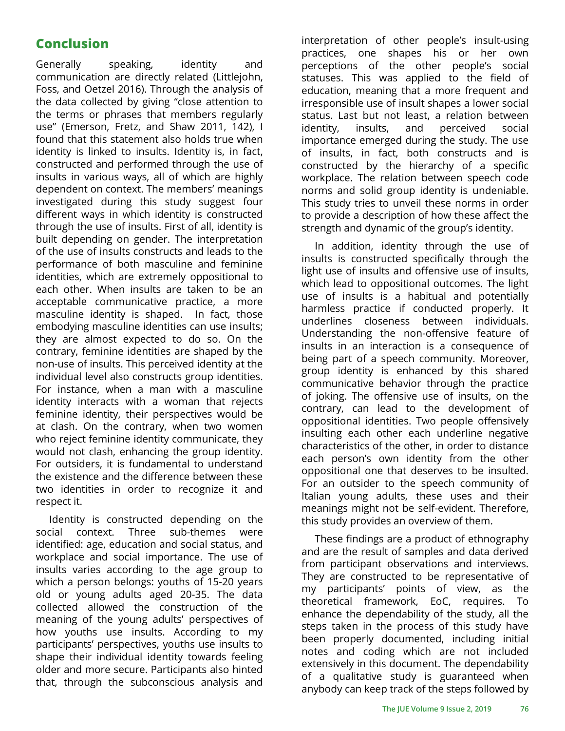# **Conclusion**

Generally speaking, identity and communication are directly related (Littlejohn, Foss, and Oetzel 2016). Through the analysis of the data collected by giving "close attention to the terms or phrases that members regularly use" (Emerson, Fretz, and Shaw 2011, 142), I found that this statement also holds true when identity is linked to insults. Identity is, in fact, constructed and performed through the use of insults in various ways, all of which are highly dependent on context. The members' meanings investigated during this study suggest four different ways in which identity is constructed through the use of insults. First of all, identity is built depending on gender. The interpretation of the use of insults constructs and leads to the performance of both masculine and feminine identities, which are extremely oppositional to each other. When insults are taken to be an acceptable communicative practice, a more masculine identity is shaped. In fact, those embodying masculine identities can use insults; they are almost expected to do so. On the contrary, feminine identities are shaped by the non-use of insults. This perceived identity at the individual level also constructs group identities. For instance, when a man with a masculine identity interacts with a woman that rejects feminine identity, their perspectives would be at clash. On the contrary, when two women who reject feminine identity communicate, they would not clash, enhancing the group identity. For outsiders, it is fundamental to understand the existence and the difference between these two identities in order to recognize it and respect it.

Identity is constructed depending on the social context. Three sub-themes were identified: age, education and social status, and workplace and social importance. The use of insults varies according to the age group to which a person belongs: youths of 15-20 years old or young adults aged 20-35. The data collected allowed the construction of the meaning of the young adults' perspectives of how youths use insults. According to my participants' perspectives, youths use insults to shape their individual identity towards feeling older and more secure. Participants also hinted that, through the subconscious analysis and

interpretation of other people's insult-using practices, one shapes his or her own perceptions of the other people's social statuses. This was applied to the field of education, meaning that a more frequent and irresponsible use of insult shapes a lower social status. Last but not least, a relation between identity, insults, and perceived social importance emerged during the study. The use of insults, in fact, both constructs and is constructed by the hierarchy of a specific workplace. The relation between speech code norms and solid group identity is undeniable. This study tries to unveil these norms in order to provide a description of how these affect the strength and dynamic of the group's identity.

In addition, identity through the use of insults is constructed specifically through the light use of insults and offensive use of insults, which lead to oppositional outcomes. The light use of insults is a habitual and potentially harmless practice if conducted properly. It underlines closeness between individuals. Understanding the non-offensive feature of insults in an interaction is a consequence of being part of a speech community. Moreover, group identity is enhanced by this shared communicative behavior through the practice of joking. The offensive use of insults, on the contrary, can lead to the development of oppositional identities. Two people offensively insulting each other each underline negative characteristics of the other, in order to distance each person's own identity from the other oppositional one that deserves to be insulted. For an outsider to the speech community of Italian young adults, these uses and their meanings might not be self-evident. Therefore, this study provides an overview of them.

These findings are a product of ethnography and are the result of samples and data derived from participant observations and interviews. They are constructed to be representative of my participants' points of view, as the theoretical framework, EoC, requires. To enhance the dependability of the study, all the steps taken in the process of this study have been properly documented, including initial notes and coding which are not included extensively in this document. The dependability of a qualitative study is guaranteed when anybody can keep track of the steps followed by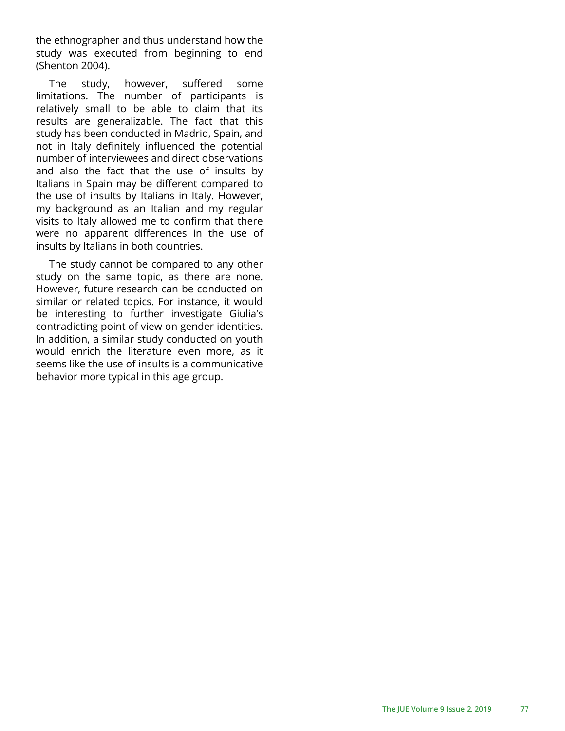the ethnographer and thus understand how the study was executed from beginning to end (Shenton 2004).

The study, however, suffered some limitations. The number of participants is relatively small to be able to claim that its results are generalizable. The fact that this study has been conducted in Madrid, Spain, and not in Italy definitely influenced the potential number of interviewees and direct observations and also the fact that the use of insults by Italians in Spain may be different compared to the use of insults by Italians in Italy. However, my background as an Italian and my regular visits to Italy allowed me to confirm that there were no apparent differences in the use of insults by Italians in both countries.

The study cannot be compared to any other study on the same topic, as there are none. However, future research can be conducted on similar or related topics. For instance, it would be interesting to further investigate Giulia's contradicting point of view on gender identities. In addition, a similar study conducted on youth would enrich the literature even more, as it seems like the use of insults is a communicative behavior more typical in this age group.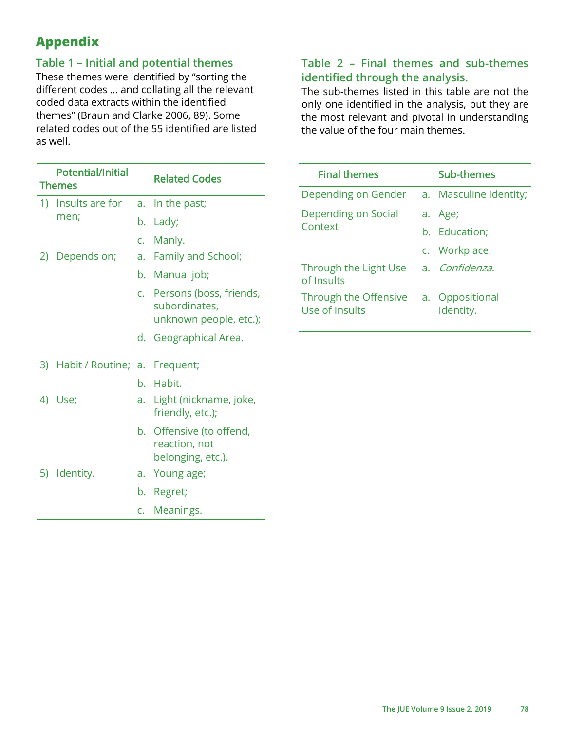# **Appendix**

### **Table 1 – Initial and potential themes**

These themes were identified by "sorting the different codes … and collating all the relevant coded data extracts within the identified themes" (Braun and Clarke 2006, 89). Some related codes out of the 55 identified are listed as well.

| c. Persons (boss, friends,<br>unknown people, etc.); |
|------------------------------------------------------|
|                                                      |
|                                                      |
|                                                      |
| Light (nickname, joke,                               |
|                                                      |
|                                                      |
|                                                      |
|                                                      |
| b. Offensive (to offend,                             |

### **Table 2 – Final themes and sub-themes identified through the analysis.**

The sub-themes listed in this table are not the only one identified in the analysis, but they are the most relevant and pivotal in understanding the value of the four main themes.

| <b>Final themes</b>                     | Sub-themes                   |
|-----------------------------------------|------------------------------|
| Depending on Gender                     | a. Masculine Identity;       |
| Depending on Social<br>Context          | a. Age;                      |
|                                         | b. Education;                |
|                                         | c. Workplace.                |
| Through the Light Use<br>of Insults     | a. Confidenza.               |
| Through the Offensive<br>Use of Insults | a. Oppositional<br>Identity. |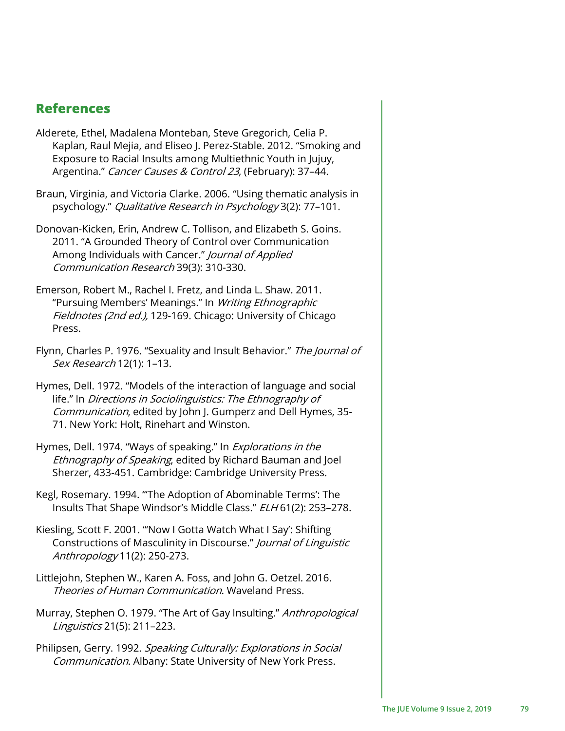### **References**

- Alderete, Ethel, Madalena Monteban, Steve Gregorich, Celia P. Kaplan, Raul Mejia, and Eliseo J. Perez-Stable. 2012. "Smoking and Exposure to Racial Insults among Multiethnic Youth in Jujuy, Argentina." Cancer Causes & Control 23, (February): 37-44.
- Braun, Virginia, and Victoria Clarke. 2006. "Using thematic analysis in psychology." Qualitative Research in Psychology 3(2): 77–101.
- Donovan-Kicken, Erin, Andrew C. Tollison, and Elizabeth S. Goins. 2011. "A Grounded Theory of Control over Communication Among Individuals with Cancer." Journal of Applied Communication Research 39(3): 310-330.
- Emerson, Robert M., Rachel I. Fretz, and Linda L. Shaw. 2011. "Pursuing Members' Meanings." In Writing Ethnographic Fieldnotes (2nd ed.), 129-169. Chicago: University of Chicago Press.
- Flynn, Charles P. 1976. "Sexuality and Insult Behavior." The Journal of Sex Research 12(1): 1–13.
- Hymes, Dell. 1972. "Models of the interaction of language and social life." In Directions in Sociolinguistics: The Ethnography of Communication, edited by John J. Gumperz and Dell Hymes, 35-71. New York: Holt, Rinehart and Winston.
- Hymes, Dell. 1974. "Ways of speaking." In *Explorations in the* Ethnography of Speaking, edited by Richard Bauman and Joel Sherzer, 433-451. Cambridge: Cambridge University Press.
- Kegl, Rosemary. 1994. "'The Adoption of Abominable Terms': The Insults That Shape Windsor's Middle Class." ELH 61(2): 253–278.
- Kiesling, Scott F. 2001. "'Now I Gotta Watch What I Say': Shifting Constructions of Masculinity in Discourse." Journal of Linguistic Anthropology 11(2): 250-273.
- Littlejohn, Stephen W., Karen A. Foss, and John G. Oetzel. 2016. Theories of Human Communication. Wayeland Press.
- Murray, Stephen O. 1979. "The Art of Gay Insulting." Anthropological Linguistics 21(5): 211–223.
- Philipsen, Gerry. 1992. Speaking Culturally: Explorations in Social Communication. Albany: State University of New York Press.